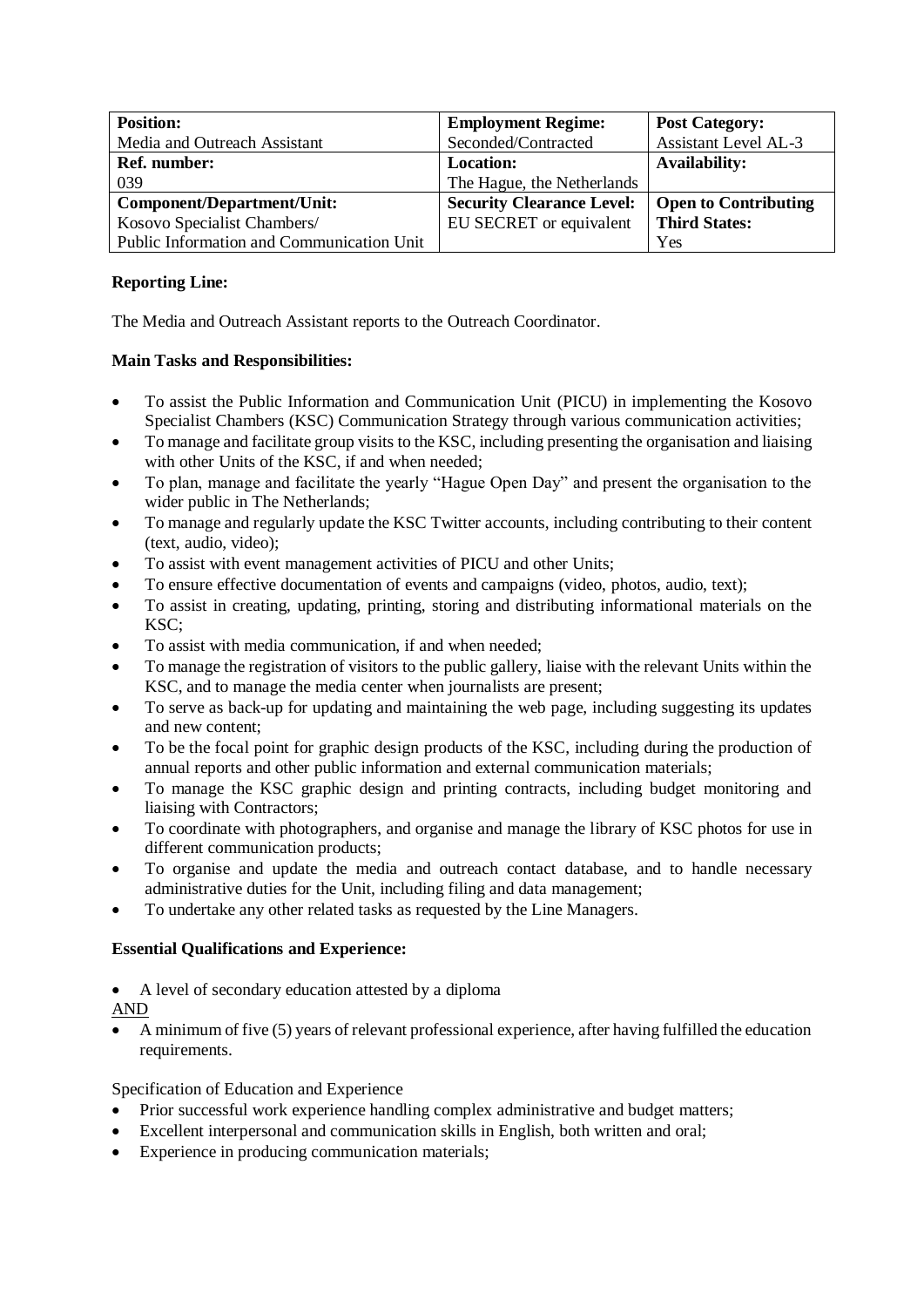| <b>Position:</b>                          | <b>Employment Regime:</b>        | <b>Post Category:</b>       |
|-------------------------------------------|----------------------------------|-----------------------------|
| Media and Outreach Assistant              | Seconded/Contracted              | <b>Assistant Level AL-3</b> |
| <b>Ref. number:</b>                       | <b>Location:</b>                 | <b>Availability:</b>        |
| 039                                       | The Hague, the Netherlands       |                             |
| Component/Department/Unit:                | <b>Security Clearance Level:</b> | <b>Open to Contributing</b> |
| Kosovo Specialist Chambers/               | EU SECRET or equivalent          | <b>Third States:</b>        |
| Public Information and Communication Unit |                                  | Yes                         |

# **Reporting Line:**

The Media and Outreach Assistant reports to the Outreach Coordinator.

## **Main Tasks and Responsibilities:**

- To assist the Public Information and Communication Unit (PICU) in implementing the Kosovo Specialist Chambers (KSC) Communication Strategy through various communication activities;
- To manage and facilitate group visits to the KSC, including presenting the organisation and liaising with other Units of the KSC, if and when needed;
- To plan, manage and facilitate the yearly "Hague Open Day" and present the organisation to the wider public in The Netherlands;
- To manage and regularly update the KSC Twitter accounts, including contributing to their content (text, audio, video);
- To assist with event management activities of PICU and other Units;
- To ensure effective documentation of events and campaigns (video, photos, audio, text);
- To assist in creating, updating, printing, storing and distributing informational materials on the KSC;
- To assist with media communication, if and when needed;
- To manage the registration of visitors to the public gallery, liaise with the relevant Units within the KSC, and to manage the media center when journalists are present;
- To serve as back-up for updating and maintaining the web page, including suggesting its updates and new content;
- To be the focal point for graphic design products of the KSC, including during the production of annual reports and other public information and external communication materials;
- To manage the KSC graphic design and printing contracts, including budget monitoring and liaising with Contractors;
- To coordinate with photographers, and organise and manage the library of KSC photos for use in different communication products;
- To organise and update the media and outreach contact database, and to handle necessary administrative duties for the Unit, including filing and data management;
- To undertake any other related tasks as requested by the Line Managers.

# **Essential Qualifications and Experience:**

- A level of secondary education attested by a diploma
- AND
- A minimum of five (5) years of relevant professional experience, after having fulfilled the education requirements.

#### Specification of Education and Experience

- Prior successful work experience handling complex administrative and budget matters;
- Excellent interpersonal and communication skills in English, both written and oral;
- Experience in producing communication materials;